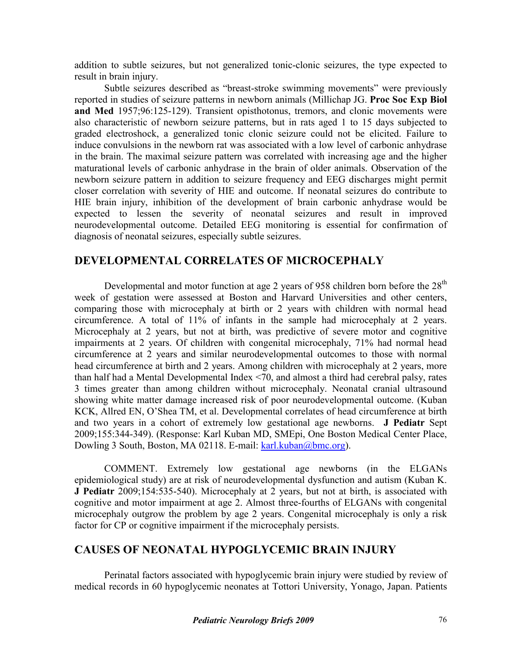addition to subtle seizures, but not generalized tonic-clonic seizures, the type expected to result in brain injury.

Subtle seizures described as "breast-stroke swimming movements" were previously reported in studies of seizure patterns in newborn animals (Millichap JG. **Proc Soc Exp Biol and Med** 1957;96:125-129). Transient opisthotonus, tremors, and clonic movements were also characteristic of newborn seizure patterns, but in rats aged 1 to 15 days subjected to graded electroshock, a generalized tonic clonic seizure could not be elicited. Failure to induce convulsions in the newborn rat was associated with a low level of carbonic anhydrase in the brain. The maximal seizure pattern was correlated with increasing age and the higher maturational levels of carbonic anhydrase in the brain of older animals. Observation of the newborn seizure pattern in addition to seizure frequency and EEG discharges might permit closer correlation with severity of HIE and outcome. If neonatal seizures do contribute to HIE brain injury, inhibition of the development of brain carbonic anhydrase would be expected to lessen the severity of neonatal seizures and result in improved neurodevelopmental outcome. Detailed EEG monitoring is essential for confirmation of diagnosis of neonatal seizures, especially subtle seizures.

## **DEVELOPMENTAL CORRELATES OF MICROCEPHALY**

Developmental and motor function at age 2 years of 958 children born before the  $28<sup>th</sup>$ week of gestation were assessed at Boston and Harvard Universities and other centers, comparing those with microcephaly at birth or 2 years with children with normal head circumference. A total of 11% of infants in the sample had microcephaly at 2 years. Microcephaly at 2 years, but not at birth, was predictive of severe motor and cognitive impairments at 2 years. Of children with congenital microcephaly, 71% had normal head circumference at 2 years and similar neurodevelopmental outcomes to those with normal head circumference at birth and 2 years. Among children with microcephaly at 2 years, more than half had a Mental Developmental Index <70, and almost a third had cerebral palsy, rates 3 times greater than among children without microcephaly. Neonatal cranial ultrasound showing white matter damage increased risk of poor neurodevelopmental outcome. (Kuban KCK, Allred EN, O'Shea TM, et al. Developmental correlates of head circumference at birth and two years in a cohort of extremely low gestational age newborns. **J Pediatr** Sept 2009;155:344-349). (Response: Karl Kuban MD, SMEpi, One Boston Medical Center Place, Dowling 3 South, Boston, MA 02118. E-mail: [karl.kuban@bmc.org\)](mailto:karl.kuban@bmc.org).

COMMENT. Extremely low gestational age newborns (in the ELGANs epidemiological study) are at risk of neurodevelopmental dysfunction and autism (Kuban K. **J Pediatr** 2009;154:535-540). Microcephaly at 2 years, but not at birth, is associated with cognitive and motor impairment at age 2. Almost three-fourths of ELGANs with congenital microcephaly outgrow the problem by age 2 years. Congenital microcephaly is only a risk factor for CP or cognitive impairment if the microcephaly persists.

## **CAUSES OF NEONATAL HYPOGLYCEMIC BRAIN INJURY**

Perinatal factors associated with hypoglycemic brain injury were studied by review of medical records in 60 hypoglycemic neonates at Tottori University, Yonago, Japan. Patients